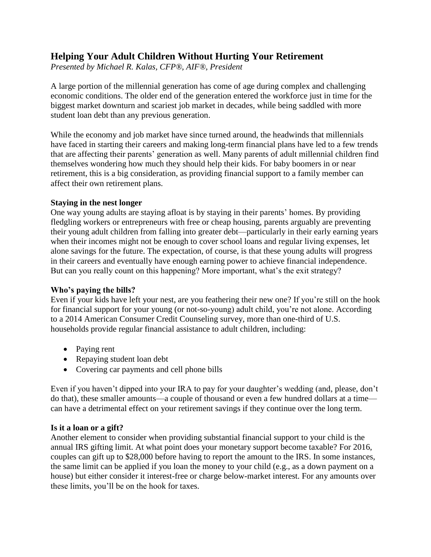# **Helping Your Adult Children Without Hurting Your Retirement**

*Presented by Michael R. Kalas, CFP®, AIF®, President*

A large portion of the millennial generation has come of age during complex and challenging economic conditions. The older end of the generation entered the workforce just in time for the biggest market downturn and scariest job market in decades, while being saddled with more student loan debt than any previous generation.

While the economy and job market have since turned around, the headwinds that millennials have faced in starting their careers and making long-term financial plans have led to a few trends that are affecting their parents' generation as well. Many parents of adult millennial children find themselves wondering how much they should help their kids. For baby boomers in or near retirement, this is a big consideration, as providing financial support to a family member can affect their own retirement plans.

### **Staying in the nest longer**

One way young adults are staying afloat is by staying in their parents' homes. By providing fledgling workers or entrepreneurs with free or cheap housing, parents arguably are preventing their young adult children from falling into greater debt—particularly in their early earning years when their incomes might not be enough to cover school loans and regular living expenses, let alone savings for the future. The expectation, of course, is that these young adults will progress in their careers and eventually have enough earning power to achieve financial independence. But can you really count on this happening? More important, what's the exit strategy?

# **Who's paying the bills?**

Even if your kids have left your nest, are you feathering their new one? If you're still on the hook for financial support for your young (or not-so-young) adult child, you're not alone. According to a 2014 American Consumer Credit Counseling survey, more than one-third of U.S. households provide regular financial assistance to adult children, including:

- Paying rent
- Repaying student loan debt
- Covering car payments and cell phone bills

Even if you haven't dipped into your IRA to pay for your daughter's wedding (and, please, don't do that), these smaller amounts—a couple of thousand or even a few hundred dollars at a time can have a detrimental effect on your retirement savings if they continue over the long term.

# **Is it a loan or a gift?**

Another element to consider when providing substantial financial support to your child is the annual IRS gifting limit. At what point does your monetary support become taxable? For 2016, couples can gift up to \$28,000 before having to report the amount to the IRS. In some instances, the same limit can be applied if you loan the money to your child (e.g., as a down payment on a house) but either consider it interest-free or charge below-market interest. For any amounts over these limits, you'll be on the hook for taxes.